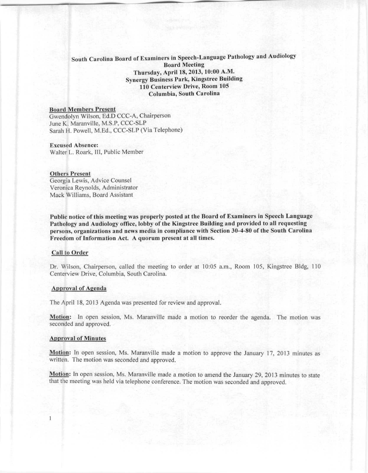# South Carolina Board of Examiners in Speech-Language Pathology and Audiology Bonrd Meeting Thursday, April 18, 2013, 10:00 A.M. Synergy Business Park, Kingstree Building 110 Centerview Drive, Room 105 Columbin, South Carolina

### **Board Members Present**

Gwendolvn Wilson. Ed.D CCC-A. Chairperson June K. Maranville. M.S.P. CCC-SLP Sarah H. Powell, M.Ed., CCC-SLP (Yia Telephone)

#### **Excused Absence:**

Walter L. Roark, III, Public Member

#### **Others Present**

Georgia Lewis, Advice Counsel Yeroniea Reynolds, Administrator Mack Williams, Board Assistant

Public notice of this meeting was properly posted at the Board of Examiners in Speech Language Pathology and Audiology office, lobby of the Kingstree Building and provided to all requesting **persons, organiz.ations mul news mcdbl in compliance with** Sect inn **30-4-80 of the South Carolina Freedom of Information Act. A quorum prescnt at all times.**

#### Call to Order

Dr. Wilson, Chairperson, called the meeting to order at 10:05 a.m., Room 105, Kingstree Bldg, 110 Centerview Drive, Columbia, South Carolina.

#### Approval of Agendn

The April 18, 2013 Agenda was presented for review and approval.

**Motion:** In open session, Ms. Maranville made a motion to reorder the agenda. The motion was seconded and approved.

#### **Approval of l\linutcs**

 $\mathbf{1}$ 

Motion: In open session, Ms. Maranville made a motion to approve the January 17, 2013 minutes as written. The motion was seconded and approved.

**Motion:** In open session, Ms. Maranville made a motion to amend the January 29, 2013 minutes to state that the meeting was held via telephone conference. The motion was seconded and approved.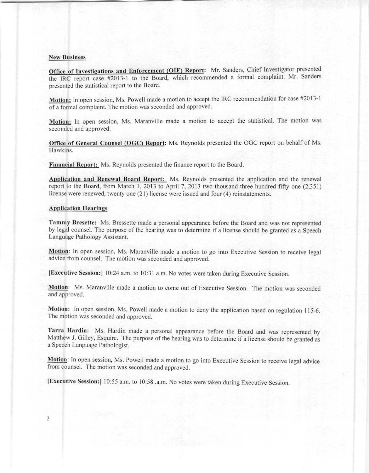### **Nen' Business**

Office of Investigations and Enforcement (OIE) Report: Mr. Sanders, Chief Investigator presented the IRC report case #2013-1 to the Board, which recommended a formal complaint. Mr. Sanders presented the statistical report to the Board.

Motion: In open session, Ms. Powell made a motion to accept the IRC recommendation for case #2013-1 of a formal complaint. The motion was seconded and approved.

Motion: In open session, Ms. Maranville made a motion to accept the statistical. The motion was seconded and approved.

Office of General Counsel (OGC) Report: Ms. Reynolds presented the OGC report on behalf of Ms. Hawkins.

Financial Report: Ms. Reynolds presented the finance report to the Board.

Application and Renewal Board Report: Ms. Reynolds presented the application and the renewal report to the Board, from March 1,2013 to April 7, 2013 two thousand three hundred fifty one (2,351) license were renewed, twenty one (21) license were issued and four (4) reinstatements.

### **Application Bearings**

Tammy Bresette: Ms. Bressette made a personal appearance before the Board and was not represented by legal counsel. The purpose of the hearing was to determine if a license should be granted as a Speech Language Pathology Assistant.

**Motion:** In open session, Ms. Maranville made a motion to go into Executive Session to receive legal advice from counsel. The motion was seconded and approved.

(Executive Session:) 10:24 a.m. to 10:31 a.m. No votes were taken during Executive Session.

**Motion:** Ms. Maranville made a motion to come out of Executive Session. The motion was seconded and approved.

Motion: In open session, Ms. Powell made a motion to deny the application based on regulation 115-6. The motion was seconded and approved.

Tarra Hardin: Ms. Hardin made a personal appearance before the Board and was represented by Matthew J. Gilley, Esquire. The purpose of the hearing was to determine if a license should be granted as a Speech Language Pathologist.

Motion: In open session, Ms. Powell made a motion to go into Executive Session to receive legal advice from counsel. The motion was seconded and approved.

[Exeeulive Session:1 10:55 a.m. to 10:58 .a.m. No votes were taken during Executive Session.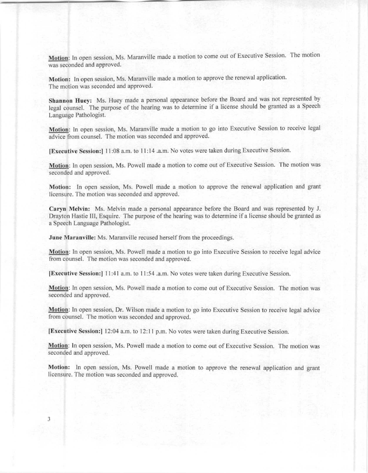Motion: In open session, Ms. Maranville made a motion to come out of Executive Session. The motion was seconded and approved.

Motion: In open session, Ms. Maranville made a motion to approve the renewal application. The motion was seconded and approved.

Shannon Huey: Ms. Huey made a personal appearance before the Board and was not represented by legal counsel. The purpose of the hearing was to determine if a license should be granted as a Speech Language Pathologist.

Motion: In open session, Ms. Maranville made a motion to go into Executive Session to receive legal advice from counsel. The motion was seconded and approved.

[Executive Session:] 11:08 a.m. to 11:14 .a.m. No votes were taken during Executive Session.

Motion: In open session, Ms. Powell made a motion to come out of Executive Session. The motion was seconded and approved.

Motion: In open session, Ms. Powell made a motion to approve the renewal application and grant licensure. The motion was seconded and approved.

Caryn Melvin: Ms. Melvin made a personal appearance before the Board and was represented by J. Drayton Hastie III, Esquire. The purpose of the hearing was to determine if a license should be granted as a Speech Language Pathologist.

June Maranville: Ms. Maranville recused herself from the proceedings.

Motion: In open session, Ms. Powell made a motion to go into Executive Session to receive legal advice from counsel. The motion was seconded and approved.

(Executive Session:) 11:41 a.m. to 11:54 .a.m. No votes were taken during Executive Session.

Motion: In open session, Ms. Powell made a motion to come out of Executive Session. The motion was seconded and approved.

**Motion:** In open session, Dr. Wilson made a motion to go into Executive Session to receive legal advice from counsel. The motion was seconded and approved.

IExecutive Session: I 12:04 a.m. to 12:I <sup>I</sup> p.m. No votes were taken during Executive Session.

Motion: In open session, Ms. Powell made a motion to come out of Executive Session. The motion was seconded and approved.

Motion: In open session, Ms. Powell made a motion to approve the renewal application and grant licensure. The motion was seconded and approved.